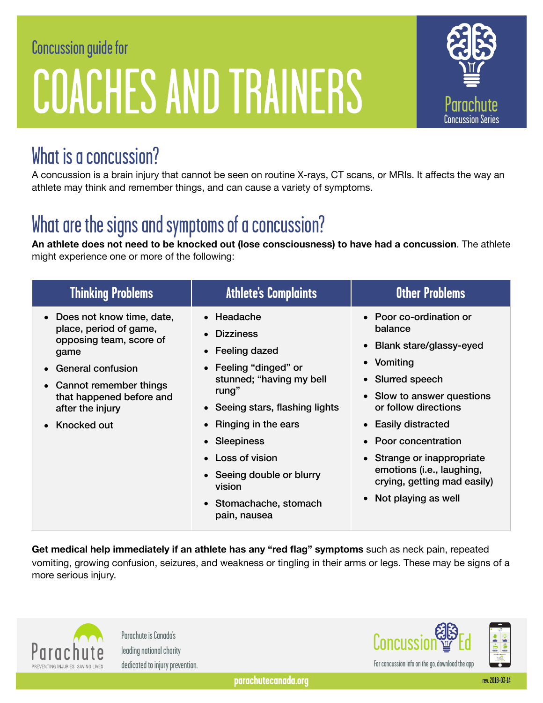# Concussion guide for COACHES AND TRAINERS



### What is a concussion?

A concussion is a brain injury that cannot be seen on routine X-rays, CT scans, or MRIs. It affects the way an athlete may think and remember things, and can cause a variety of symptoms.

# What are the signs and symptoms of a concussion?

**An athlete does not need to be knocked out (lose consciousness) to have had a concussion**. The athlete might experience one or more of the following:

| <b>Thinking Problems</b>                                                                                                                                                                                        | <b>Athlete's Complaints</b>                                                                                                                                                                                                                                                                                                     | <b>Other Problems</b>                                                                                                                                                                                                                                                                                                     |
|-----------------------------------------------------------------------------------------------------------------------------------------------------------------------------------------------------------------|---------------------------------------------------------------------------------------------------------------------------------------------------------------------------------------------------------------------------------------------------------------------------------------------------------------------------------|---------------------------------------------------------------------------------------------------------------------------------------------------------------------------------------------------------------------------------------------------------------------------------------------------------------------------|
| • Does not know time, date,<br>place, period of game,<br>opposing team, score of<br>game<br><b>General confusion</b><br>• Cannot remember things<br>that happened before and<br>after the injury<br>Knocked out | • Headache<br><b>Dizziness</b><br>$\bullet$<br>Feeling dazed<br>$\bullet$<br>Feeling "dinged" or<br>$\bullet$<br>stunned; "having my bell<br>rung"<br>• Seeing stars, flashing lights<br>Ringing in the ears<br>• Sleepiness<br>Loss of vision<br>• Seeing double or blurry<br>vision<br>• Stomachache, stomach<br>pain, nausea | • Poor co-ordination or<br>balance<br>• Blank stare/glassy-eyed<br>• Vomiting<br>• Slurred speech<br>• Slow to answer questions<br>or follow directions<br>• Easily distracted<br>• Poor concentration<br>• Strange or inappropriate<br>emotions (i.e., laughing,<br>crying, getting mad easily)<br>• Not playing as well |

**Get medical help immediately if an athlete has any "red flag" symptoms** such as neck pain, repeated vomiting, growing confusion, seizures, and weakness or tingling in their arms or legs. These may be signs of a more serious injury.



Parachute is Canada's leading national charity dedicated to injury prevention.

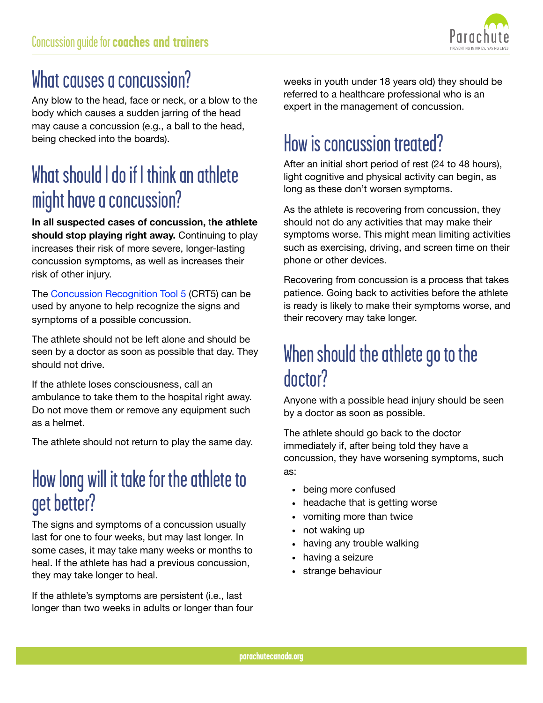

### What causes a concussion?

Any blow to the head, face or neck, or a blow to the body which causes a sudden jarring of the head may cause a concussion (e.g., a ball to the head, being checked into the boards).

### What should I do if I think an athlete might have a concussion?

**In all suspected cases of concussion,** t**he athlete should stop playing right away.** Continuing to play increases their risk of more severe, longer-lasting concussion symptoms, as well as increases their risk of other injury.

The [Concussion Recognition Tool 5](http://www.parachutecanada.org/downloads/resources/CRT5.pdf) (CRT5) can be used by anyone to help recognize the signs and symptoms of a possible concussion.

The athlete should not be left alone and should be seen by a doctor as soon as possible that day. They should not drive.

If the athlete loses consciousness, call an ambulance to take them to the hospital right away. Do not move them or remove any equipment such as a helmet.

The athlete should not return to play the same day.

### How long will it take for the athlete to get better?

The signs and symptoms of a concussion usually last for one to four weeks, but may last longer. In some cases, it may take many weeks or months to heal. If the athlete has had a previous concussion, they may take longer to heal.

If the athlete's symptoms are persistent (i.e., last longer than two weeks in adults or longer than four weeks in youth under 18 years old) they should be referred to a healthcare professional who is an expert in the management of concussion.

## How is concussion treated?

After an initial short period of rest (24 to 48 hours), light cognitive and physical activity can begin, as long as these don't worsen symptoms.

As the athlete is recovering from concussion, they should not do any activities that may make their symptoms worse. This might mean limiting activities such as exercising, driving, and screen time on their phone or other devices.

Recovering from concussion is a process that takes patience. Going back to activities before the athlete is ready is likely to make their symptoms worse, and their recovery may take longer.

#### When should the athlete go to the doctor?

Anyone with a possible head injury should be seen by a doctor as soon as possible.

The athlete should go back to the doctor immediately if, after being told they have a concussion, they have worsening symptoms, such as:

- being more confused
- headache that is getting worse
- vomiting more than twice
- not waking up
- having any trouble walking
- having a seizure
- strange behaviour